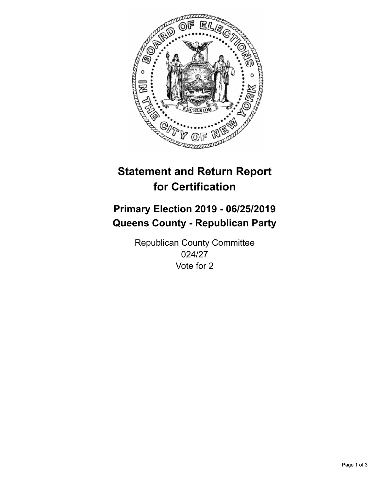

## **Statement and Return Report for Certification**

## **Primary Election 2019 - 06/25/2019 Queens County - Republican Party**

Republican County Committee 024/27 Vote for 2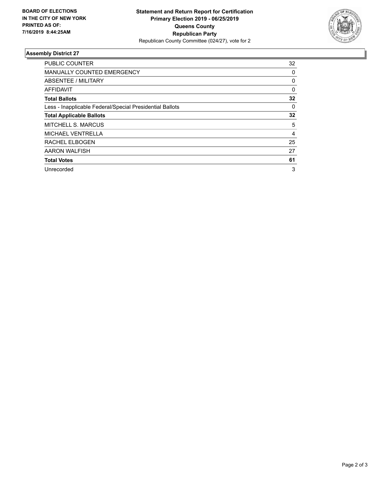

## **Assembly District 27**

| <b>PUBLIC COUNTER</b>                                    | 32       |
|----------------------------------------------------------|----------|
| MANUALLY COUNTED EMERGENCY                               | 0        |
| ABSENTEE / MILITARY                                      | 0        |
| AFFIDAVIT                                                | $\Omega$ |
| <b>Total Ballots</b>                                     | 32       |
| Less - Inapplicable Federal/Special Presidential Ballots | 0        |
| <b>Total Applicable Ballots</b>                          | 32       |
| <b>MITCHELL S. MARCUS</b>                                | 5        |
| <b>MICHAEL VENTRELLA</b>                                 | 4        |
| RACHEL ELBOGEN                                           | 25       |
| AARON WALFISH                                            | 27       |
| <b>Total Votes</b>                                       | 61       |
| Unrecorded                                               | 3        |